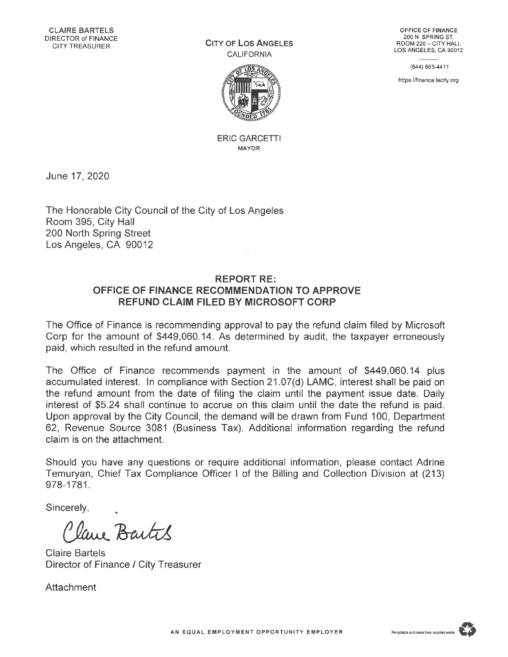**City of Los Angeles** CALIFORNIA



ERIC GARCETTI MAYOR

June 17, 2020

The Honorable City Council of the City of Los Angeles Room 395, City Hall 200 North Spring Street Los Angeles, CA 90012

## **REPORT RE: OFFICE OF FINANCE RECOMMENDATION TO APPROVE REFUND CLAIM FILED BY MICROSOFT CORP**

The Office of Finance is recommending approval to pay the refund claim filed by Microsoft Corp for the amount of \$449,060.14. As determined by audit, the taxpayer erroneously paid, which resulted in the refund amount.

The Office of Finance recommends payment in the amount of \$449,060.14 plus accumulated interest. In compliance with Section 21.07(d) LAMC, interest shall be paid on the refund amount from the date of filing the claim until the payment issue date. Daily interest of \$5.24 shall continue to accrue on this claim until the date the refund is paid. Upon approval by the City Council, the demand will be drawn from Fund 100, Department 62, Revenue Source 3081 (Business Tax). Additional information regarding the refund claim is on the attachment.

Should you have any questions or require additional information, please contact Adrine Temuryan, Chief Tax Compliance Officer <sup>I</sup> of the Billing and Collection Division at (213) 978-1781.

Sincerely,

lave Bartes

Claire Bartels Director of Finance / City Treasurer

**Attachment** 

(844) 663-4411

<https://finance.lacity.org>